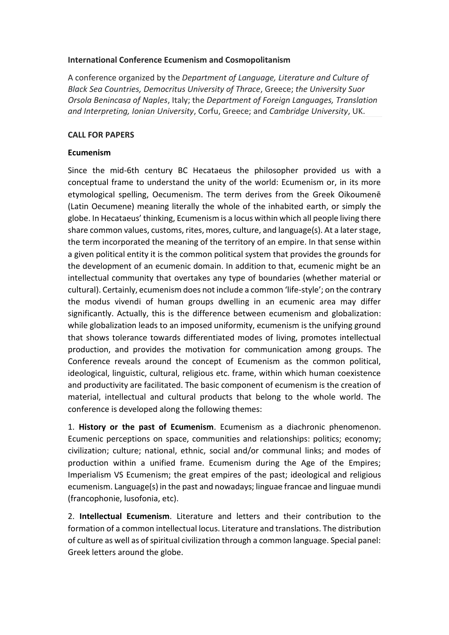## **International Conference Ecumenism and Cosmopolitanism**

A conference organized by the *Department of Language, Literature and Culture of Black Sea Countries, Democritus University of Thrace*, Greece; *the University Suor Orsola Benincasa of Naples*, Italy; the *Department of Foreign Languages, Translation and Interpreting, Ionian University*, Corfu, Greece; and *Cambridge University*, UK.

## **CALL FOR PAPERS**

# **Ecumenism**

Since the mid-6th century BC Hecataeus the philosopher provided us with a conceptual frame to understand the unity of the world: Ecumenism or, in its more etymological spelling, Oecumenism. The term derives from the Greek Oikoumenē (Latin Oecumene) meaning literally the whole of the inhabited earth, or simply the globe. In Hecataeus' thinking, Ecumenism is a locus within which all people living there share common values, customs, rites, mores, culture, and language(s). At a later stage, the term incorporated the meaning of the territory of an empire. In that sense within a given political entity it is the common political system that provides the grounds for the development of an ecumenic domain. In addition to that, ecumenic might be an intellectual community that overtakes any type of boundaries (whether material or cultural). Certainly, ecumenism does not include a common 'life-style'; on the contrary the modus vivendi of human groups dwelling in an ecumenic area may differ significantly. Actually, this is the difference between ecumenism and globalization: while globalization leads to an imposed uniformity, ecumenism is the unifying ground that shows tolerance towards differentiated modes of living, promotes intellectual production, and provides the motivation for communication among groups. The Conference reveals around the concept of Ecumenism as the common political, ideological, linguistic, cultural, religious etc. frame, within which human coexistence and productivity are facilitated. The basic component of ecumenism is the creation of material, intellectual and cultural products that belong to the whole world. The conference is developed along the following themes:

1. **History or the past of Ecumenism**. Ecumenism as a diachronic phenomenon. Ecumenic perceptions on space, communities and relationships: politics; economy; civilization; culture; national, ethnic, social and/or communal links; and modes of production within a unified frame. Ecumenism during the Age of the Empires; Imperialism VS Ecumenism; the great empires of the past; ideological and religious ecumenism. Language(s) in the past and nowadays; linguae francae and linguae mundi (francophonie, lusofonia, etc).

2. **Intellectual Ecumenism**. Literature and letters and their contribution to the formation of a common intellectual locus. Literature and translations. The distribution of culture as well as of spiritual civilization through a common language. Special panel: Greek letters around the globe.